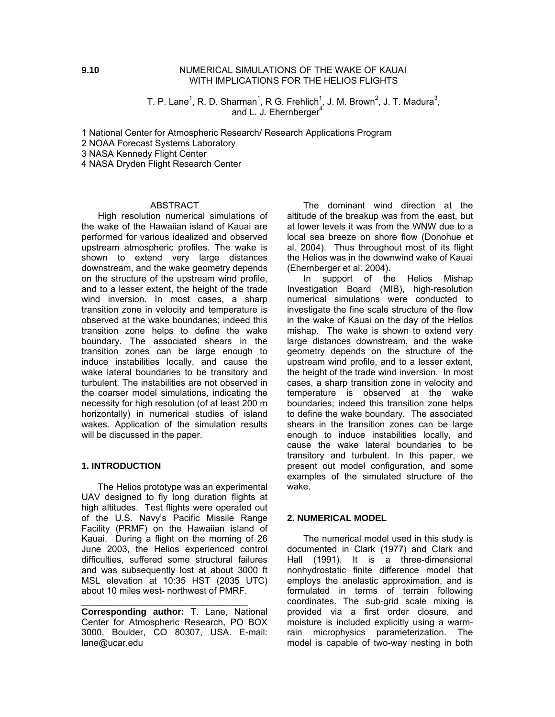T. P. Lane<sup>1</sup>, R. D. Sharman<sup>1</sup>, R G. Frehlich<sup>1</sup>, J. M. Brown<sup>2</sup>, J. T. Madura<sup>3</sup>, and L. J. Ehernberger $4$ 

1 National Center for Atmospheric Research/ Research Applications Program

2 NOAA Forecast Systems Laboratory

3 NASA Kennedy Flight Center

4 NASA Dryden Flight Research Center

### ABSTRACT

High resolution numerical simulations of the wake of the Hawaiian island of Kauai are performed for various idealized and observed upstream atmospheric profiles. The wake is shown to extend very large distances downstream, and the wake geometry depends on the structure of the upstream wind profile, and to a lesser extent, the height of the trade wind inversion. In most cases, a sharp transition zone in velocity and temperature is observed at the wake boundaries; indeed this transition zone helps to define the wake boundary. The associated shears in the transition zones can be large enough to induce instabilities locally, and cause the wake lateral boundaries to be transitory and turbulent. The instabilities are not observed in the coarser model simulations, indicating the necessity for high resolution (of at least 200 m horizontally) in numerical studies of island wakes. Application of the simulation results will be discussed in the paper.

### **1. INTRODUCTION**

The Helios prototype was an experimental UAV designed to fly long duration flights at high altitudes. Test flights were operated out of the U.S. Navy's Pacific Missile Range Facility (PRMF) on the Hawaiian island of Kauai. During a flight on the morning of 26 June 2003, the Helios experienced control difficulties, suffered some structural failures and was subsequently lost at about 3000 ft MSL elevation at 10:35 HST (2035 UTC) about 10 miles west- northwest of PMRF.

**Corresponding author:** T. Lane, National Center for Atmospheric Research, PO BOX 3000, Boulder, CO 80307, USA. E-mail: lane@ucar.edu

\_\_\_\_\_\_\_\_\_\_\_\_\_\_\_\_\_\_\_\_\_\_\_\_\_\_\_\_\_\_\_\_\_

The dominant wind direction at the altitude of the breakup was from the east, but at lower levels it was from the WNW due to a local sea breeze on shore flow (Donohue et al. 2004). Thus throughout most of its flight the Helios was in the downwind wake of Kauai (Ehernberger et al. 2004).

In support of the Helios Mishap Investigation Board (MIB), high-resolution numerical simulations were conducted to investigate the fine scale structure of the flow in the wake of Kauai on the day of the Helios mishap. The wake is shown to extend very large distances downstream, and the wake geometry depends on the structure of the upstream wind profile, and to a lesser extent, the height of the trade wind inversion. In most cases, a sharp transition zone in velocity and temperature is observed at the wake boundaries; indeed this transition zone helps to define the wake boundary. The associated shears in the transition zones can be large enough to induce instabilities locally, and cause the wake lateral boundaries to be transitory and turbulent. In this paper, we present out model configuration, and some examples of the simulated structure of the wake.

### **2. NUMERICAL MODEL**

The numerical model used in this study is documented in Clark (1977) and Clark and Hall (1991). It is a three-dimensional nonhydrostatic finite difference model that employs the anelastic approximation, and is formulated in terms of terrain following coordinates. The sub-grid scale mixing is provided via a first order closure, and moisture is included explicitly using a warmrain microphysics parameterization. The model is capable of two-way nesting in both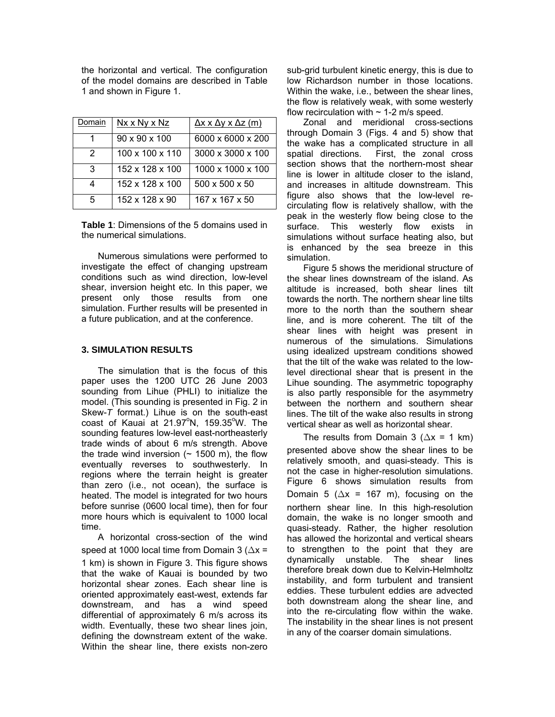the horizontal and vertical. The configuration of the model domains are described in Table 1 and shown in Figure 1.

| )omain | Nx x Ny x Nz                | $\Delta x$ x $\Delta y$ x $\Delta z$ (m) |
|--------|-----------------------------|------------------------------------------|
|        | $90 \times 90 \times 100$   | 6000 x 6000 x 200                        |
| 2      | $100 \times 100 \times 110$ | 3000 x 3000 x 100                        |
| З      | 152 x 128 x 100             | 1000 x 1000 x 100                        |
|        | 152 x 128 x 100             | $500 \times 500 \times 50$               |
| 5      | 152 x 128 x 90              | 167 x 167 x 50                           |

**Table 1**: Dimensions of the 5 domains used in the numerical simulations.

Numerous simulations were performed to investigate the effect of changing upstream conditions such as wind direction, low-level shear, inversion height etc. In this paper, we present only those results from one simulation. Further results will be presented in a future publication, and at the conference.

## **3. SIMULATION RESULTS**

The simulation that is the focus of this paper uses the 1200 UTC 26 June 2003 sounding from Lihue (PHLI) to initialize the model. (This sounding is presented in Fig. 2 in Skew-*T* format.) Lihue is on the south-east  $\cos t$  of Kauai at 21.97 $\mathrm{°N}$ , 159.35 $\mathrm{°W}$ . The sounding features low-level east-northeasterly trade winds of about 6 m/s strength. Above the trade wind inversion  $($   $\sim$  1500 m), the flow eventually reverses to southwesterly. In regions where the terrain height is greater than zero (i.e., not ocean), the surface is heated. The model is integrated for two hours before sunrise (0600 local time), then for four more hours which is equivalent to 1000 local time.

A horizontal cross-section of the wind speed at 1000 local time from Domain 3 ( $\Delta x =$ 1 km) is shown in Figure 3. This figure shows that the wake of Kauai is bounded by two horizontal shear zones. Each shear line is oriented approximately east-west, extends far downstream, and has a wind speed differential of approximately 6 m/s across its width. Eventually, these two shear lines join, defining the downstream extent of the wake. Within the shear line, there exists non-zero sub-grid turbulent kinetic energy, this is due to low Richardson number in those locations. Within the wake, i.e., between the shear lines, the flow is relatively weak, with some westerly flow recirculation with  $\sim$  1-2 m/s speed.

Zonal and meridional cross-sections through Domain 3 (Figs. 4 and 5) show that the wake has a complicated structure in all spatial directions. First, the zonal cross section shows that the northern-most shear line is lower in altitude closer to the island, and increases in altitude downstream. This figure also shows that the low-level recirculating flow is relatively shallow, with the peak in the westerly flow being close to the surface. This westerly flow exists in simulations without surface heating also, but is enhanced by the sea breeze in this simulation.

Figure 5 shows the meridional structure of the shear lines downstream of the island. As altitude is increased, both shear lines tilt towards the north. The northern shear line tilts more to the north than the southern shear line, and is more coherent. The tilt of the shear lines with height was present in numerous of the simulations. Simulations using idealized upstream conditions showed that the tilt of the wake was related to the lowlevel directional shear that is present in the Lihue sounding. The asymmetric topography is also partly responsible for the asymmetry between the northern and southern shear lines. The tilt of the wake also results in strong vertical shear as well as horizontal shear.

The results from Domain 3 ( $\Delta x = 1$  km) presented above show the shear lines to be relatively smooth, and quasi-steady. This is not the case in higher-resolution simulations. Figure 6 shows simulation results from Domain 5 ( $\Delta x$  = 167 m), focusing on the northern shear line. In this high-resolution domain, the wake is no longer smooth and quasi-steady. Rather, the higher resolution has allowed the horizontal and vertical shears to strengthen to the point that they are dynamically unstable. The shear lines therefore break down due to Kelvin-Helmholtz instability, and form turbulent and transient eddies. These turbulent eddies are advected both downstream along the shear line, and into the re-circulating flow within the wake. The instability in the shear lines is not present in any of the coarser domain simulations.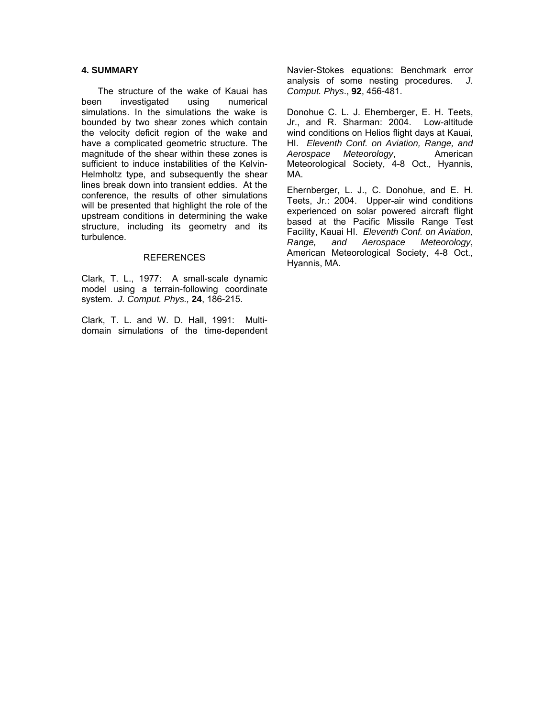# **4. SUMMARY**

The structure of the wake of Kauai has been investigated using numerical simulations. In the simulations the wake is bounded by two shear zones which contain the velocity deficit region of the wake and have a complicated geometric structure. The magnitude of the shear within these zones is sufficient to induce instabilities of the Kelvin-Helmholtz type, and subsequently the shear lines break down into transient eddies. At the conference, the results of other simulations will be presented that highlight the role of the upstream conditions in determining the wake structure, including its geometry and its turbulence.

#### REFERENCES

Clark, T. L., 1977: A small-scale dynamic model using a terrain-following coordinate system. *J. Comput. Phys.,* **24**, 186-215.

Clark, T. L. and W. D. Hall, 1991: Multidomain simulations of the time-dependent Navier-Stokes equations: Benchmark error analysis of some nesting procedures. *J. Comput. Phys*., **92**, 456-481.

Donohue C. L. J. Ehernberger, E. H. Teets, Jr., and R. Sharman: 2004. Low-altitude wind conditions on Helios flight days at Kauai, HI. *Eleventh Conf. on Aviation, Range, and Aerospace Meteorology*, American Meteorological Society, 4-8 Oct., Hyannis, MA.

Ehernberger, L. J., C. Donohue, and E. H. Teets, Jr.: 2004. Upper-air wind conditions experienced on solar powered aircraft flight based at the Pacific Missile Range Test Facility, Kauai HI. *Eleventh Conf. on Aviation, Range, and Aerospace Meteorology*, American Meteorological Society, 4-8 Oct., Hyannis, MA.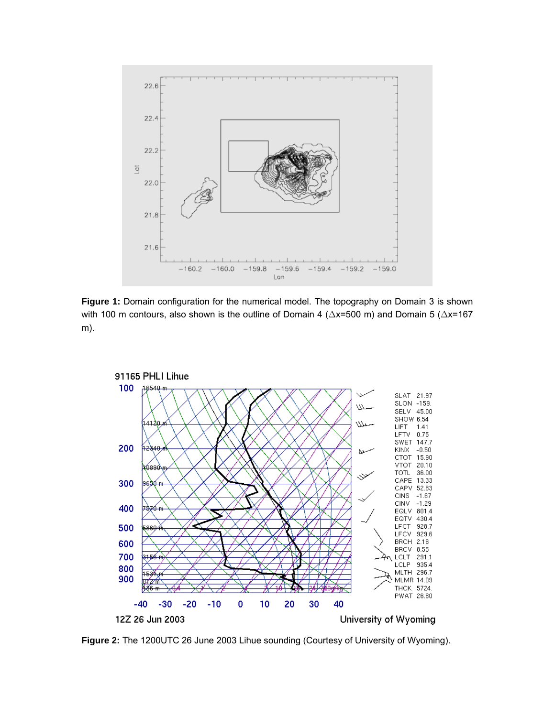

**Figure 1:** Domain configuration for the numerical model. The topography on Domain 3 is shown with 100 m contours, also shown is the outline of Domain 4 ( $\Delta x$ =500 m) and Domain 5 ( $\Delta x$ =167 m).



**Figure 2:** The 1200UTC 26 June 2003 Lihue sounding (Courtesy of University of Wyoming).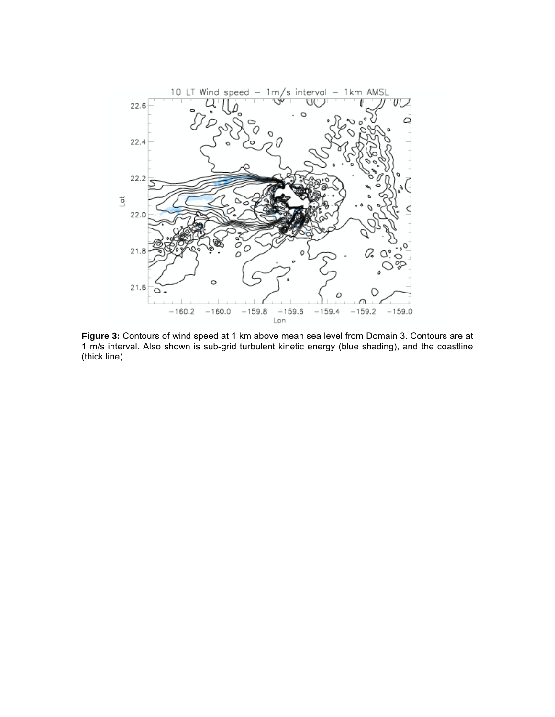

**Figure 3:** Contours of wind speed at 1 km above mean sea level from Domain 3. Contours are at 1 m/s interval. Also shown is sub-grid turbulent kinetic energy (blue shading), and the coastline (thick line).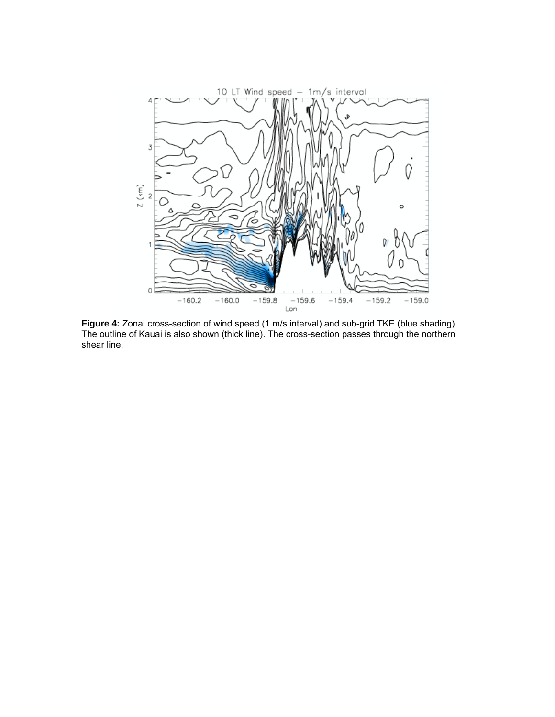

**Figure 4:** Zonal cross-section of wind speed (1 m/s interval) and sub-grid TKE (blue shading). The outline of Kauai is also shown (thick line). The cross-section passes through the northern shear line.